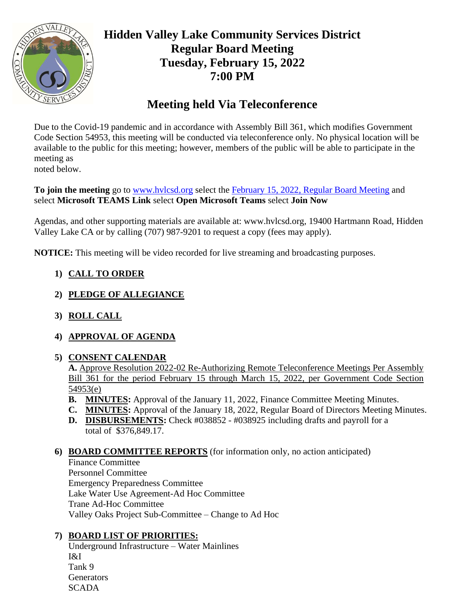

# **Hidden Valley Lake Community Services District Regular Board Meeting Tuesday, February 15, 2022 7:00 PM**

# **Meeting held Via Teleconference**

Due to the Covid-19 pandemic and in accordance with Assembly Bill 361, which modifies Government Code Section 54953, this meeting will be conducted via teleconference only. No physical location will be available to the public for this meeting; however, members of the public will be able to participate in the meeting as noted below.

**To join the meeting** go to [www.hvlcsd.org](http://www.hvlcsd.org/) select the [February 15, 2022, Regular Board](https://teams.microsoft.com/l/meetup-join/19%3ameeting_NjllMzUzY2QtYjEwMC00NjExLThjMjUtOTA0Mzk0MTRjZDdk%40thread.v2/0?context=%7b%22Tid%22%3a%223892033f-0384-4ae3-8921-e2b58f8fcbb3%22%2c%22Oid%22%3a%220c300e8e-d2aa-453c-b52c-da64ca6df4ae%22%7d) Meeting and select **Microsoft TEAMS Link** select **Open Microsoft Teams** select **Join Now**

Agendas, and other supporting materials are available at: www.hvlcsd.org, 19400 Hartmann Road, Hidden Valley Lake CA or by calling (707) 987-9201 to request a copy (fees may apply).

**NOTICE:** This meeting will be video recorded for live streaming and broadcasting purposes.

- **1) CALL TO ORDER**
- **2) PLEDGE OF ALLEGIANCE**
- **3) ROLL CALL**
- **4) APPROVAL OF AGENDA**
- **5) CONSENT CALENDAR**

**A.** Approve Resolution 2022-02 Re-Authorizing Remote Teleconference Meetings Per Assembly Bill 361 for the period February 15 through March 15, 2022, per Government Code Section 54953(e)

- **B. MINUTES:** Approval of the January 11, 2022, Finance Committee Meeting Minutes.
- **C. MINUTES:** Approval of the January 18, 2022, Regular Board of Directors Meeting Minutes.
- **D. DISBURSEMENTS:** Check #038852 #038925 including drafts and payroll for a total of \$376,849.17.

## **6) BOARD COMMITTEE REPORTS** (for information only, no action anticipated)

Finance Committee Personnel Committee Emergency Preparedness Committee Lake Water Use Agreement-Ad Hoc Committee Trane Ad-Hoc Committee Valley Oaks Project Sub-Committee – Change to Ad Hoc

## **7) BOARD LIST OF PRIORITIES:**

Underground Infrastructure – Water Mainlines I&I Tank 9 **Generators SCADA**